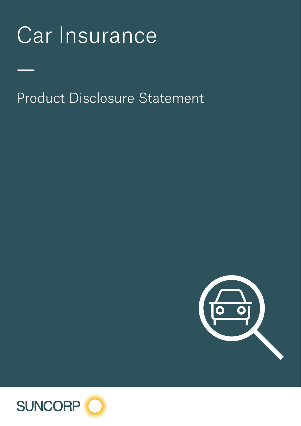# Car Insurance

—

Product Disclosure Statement



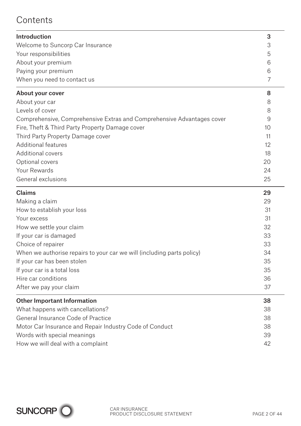# **Contents**

| Introduction                                                           | 3  |
|------------------------------------------------------------------------|----|
| Welcome to Suncorp Car Insurance                                       | 3  |
| Your responsibilities                                                  | 5  |
| About your premium                                                     | 6  |
| Paying your premium                                                    | 6  |
| When you need to contact us                                            | 7  |
| About your cover                                                       | 8  |
| About your car                                                         | 8  |
| Levels of cover                                                        | 8  |
| Comprehensive, Comprehensive Extras and Comprehensive Advantages cover | 9  |
| Fire, Theft & Third Party Property Damage cover                        | 10 |
| Third Party Property Damage cover                                      | 11 |
| Additional features                                                    | 12 |
| Additional covers                                                      | 18 |
| Optional covers                                                        | 20 |
| Your Rewards                                                           | 24 |
| General exclusions                                                     | 25 |
| Claims                                                                 | 29 |
| Making a claim                                                         | 29 |
| How to establish your loss                                             | 31 |
| Your excess                                                            | 31 |
| How we settle your claim                                               | 32 |
| If your car is damaged                                                 | 33 |
| Choice of repairer                                                     | 33 |
| When we authorise repairs to your car we will (including parts policy) | 34 |
| If your car has been stolen                                            | 35 |
| If your car is a total loss                                            | 35 |
| Hire car conditions                                                    | 36 |
| After we pay your claim                                                | 37 |
| <b>Other Important Information</b>                                     | 38 |
| What happens with cancellations?                                       | 38 |
| General Insurance Code of Practice                                     | 38 |
| Motor Car Insurance and Repair Industry Code of Conduct                | 38 |
| Words with special meanings                                            | 39 |
| How we will deal with a complaint                                      | 42 |
|                                                                        |    |

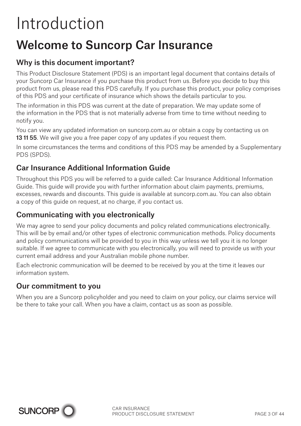# Introduction

# Welcome to Suncorp Car Insurance

# Why is this document important?

This Product Disclosure Statement (PDS) is an important legal document that contains details of your Suncorp Car Insurance if you purchase this product from us. Before you decide to buy this product from us, please read this PDS carefully. If you purchase this product, your policy comprises of this PDS and your certificate of insurance which shows the details particular to you.

The information in this PDS was current at the date of preparation. We may update some of the information in the PDS that is not materially adverse from time to time without needing to notify you.

You can view any updated information on suncorp.com.au or obtain a copy by contacting us on 13 11 55. We will give you a free paper copy of any updates if you request them.

In some circumstances the terms and conditions of this PDS may be amended by a Supplementary PDS (SPDS).

# Car Insurance Additional Information Guide

Throughout this PDS you will be referred to a guide called: Car Insurance Additional Information Guide. This guide will provide you with further information about claim payments, premiums, excesses, rewards and discounts. This guide is available at suncorp.com.au. You can also obtain a copy of this guide on request, at no charge, if you contact us.

# Communicating with you electronically

We may agree to send your policy documents and policy related communications electronically. This will be by email and/or other types of electronic communication methods. Policy documents and policy communications will be provided to you in this way unless we tell you it is no longer suitable. If we agree to communicate with you electronically, you will need to provide us with your current email address and your Australian mobile phone number.

Each electronic communication will be deemed to be received by you at the time it leaves our information system.

# Our commitment to you

When you are a Suncorp policyholder and you need to claim on your policy, our claims service will be there to take your call. When you have a claim, contact us as soon as possible.



CAR INSURANCE PRODUCT DISCLOSURE STATEMENT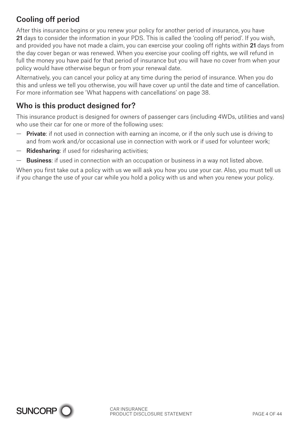# Cooling off period

After this insurance begins or you renew your policy for another period of insurance, you have 21 days to consider the information in your PDS. This is called the 'cooling off period'. If you wish, and provided you have not made a claim, you can exercise your cooling off rights within 21 days from the day cover began or was renewed. When you exercise your cooling off rights, we will refund in full the money you have paid for that period of insurance but you will have no cover from when your policy would have otherwise begun or from your renewal date.

Alternatively, you can cancel your policy at any time during the period of insurance. When you do this and unless we tell you otherwise, you will have cover up until the date and time of cancellation. For more information see 'What happens with cancellations' on page 38.

# Who is this product designed for?

This insurance product is designed for owners of passenger cars (including 4WDs, utilities and vans) who use their car for one or more of the following uses:

- Private: if not used in connection with earning an income, or if the only such use is driving to and from work and/or occasional use in connection with work or if used for volunteer work;
- Ridesharing: if used for ridesharing activities;
- Business: if used in connection with an occupation or business in a way not listed above.

When you first take out a policy with us we will ask you how you use your car. Also, you must tell us if you change the use of your car while you hold a policy with us and when you renew your policy.

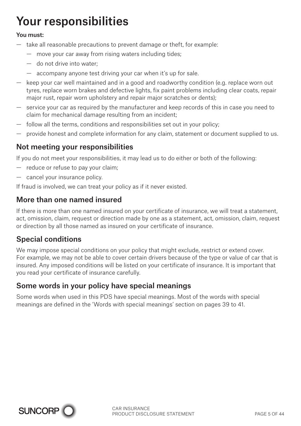# Your responsibilities

#### You must:

- take all reasonable precautions to prevent damage or theft, for example:
	- move your car away from rising waters including tides;
	- do not drive into water;
	- accompany anyone test driving your car when it's up for sale.
- keep your car well maintained and in a good and roadworthy condition (e.g. replace worn out tyres, replace worn brakes and defective lights, fix paint problems including clear coats, repair major rust, repair worn upholstery and repair major scratches or dents);
- service your car as required by the manufacturer and keep records of this in case you need to claim for mechanical damage resulting from an incident;
- follow all the terms, conditions and responsibilities set out in your policy;
- provide honest and complete information for any claim, statement or document supplied to us.

#### Not meeting your responsibilities

If you do not meet your responsibilities, it may lead us to do either or both of the following:

- reduce or refuse to pay your claim;
- cancel your insurance policy.

If fraud is involved, we can treat your policy as if it never existed.

#### More than one named insured

If there is more than one named insured on your certificate of insurance, we will treat a statement, act, omission, claim, request or direction made by one as a statement, act, omission, claim, request or direction by all those named as insured on your certificate of insurance.

#### Special conditions

We may impose special conditions on your policy that might exclude, restrict or extend cover. For example, we may not be able to cover certain drivers because of the type or value of car that is insured. Any imposed conditions will be listed on your certificate of insurance. It is important that you read your certificate of insurance carefully.

#### Some words in your policy have special meanings

Some words when used in this PDS have special meanings. Most of the words with special meanings are defined in the 'Words with special meanings' section on pages 39 to 41.



CAR INSURANCE PRODUCT DISCLOSURE STATEMENT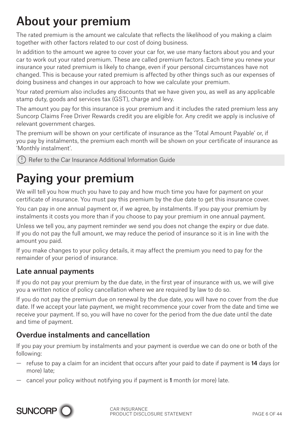# About your premium

The rated premium is the amount we calculate that reflects the likelihood of you making a claim together with other factors related to our cost of doing business.

In addition to the amount we agree to cover your car for, we use many factors about you and your car to work out your rated premium. These are called premium factors. Each time you renew your insurance your rated premium is likely to change, even if your personal circumstances have not changed. This is because your rated premium is affected by other things such as our expenses of doing business and changes in our approach to how we calculate your premium.

Your rated premium also includes any discounts that we have given you, as well as any applicable stamp duty, goods and services tax (GST), charge and levy.

The amount you pay for this insurance is your premium and it includes the rated premium less any Suncorp Claims Free Driver Rewards credit you are eligible for. Any credit we apply is inclusive of relevant government charges.

The premium will be shown on your certificate of insurance as the 'Total Amount Payable' or, if you pay by instalments, the premium each month will be shown on your certificate of insurance as 'Monthly instalment'.

 $\binom{1}{k}$  Refer to the Car Insurance Additional Information Guide

# Paying your premium

We will tell you how much you have to pay and how much time you have for payment on your certificate of insurance. You must pay this premium by the due date to get this insurance cover.

You can pay in one annual payment or, if we agree, by instalments. If you pay your premium by instalments it costs you more than if you choose to pay your premium in one annual payment.

Unless we tell you, any payment reminder we send you does not change the expiry or due date. If you do not pay the full amount, we may reduce the period of insurance so it is in line with the amount you paid.

If you make changes to your policy details, it may affect the premium you need to pay for the remainder of your period of insurance.

# Late annual payments

If you do not pay your premium by the due date, in the first year of insurance with us, we will give you a written notice of policy cancellation where we are required by law to do so.

If you do not pay the premium due on renewal by the due date, you will have no cover from the due date. If we accept your late payment, we might recommence your cover from the date and time we receive your payment. If so, you will have no cover for the period from the due date until the date and time of payment.

# Overdue instalments and cancellation

If you pay your premium by instalments and your payment is overdue we can do one or both of the following:

- refuse to pay a claim for an incident that occurs after your paid to date if payment is 14 days (or more) late;
- cancel your policy without notifying you if payment is 1 month (or more) late.

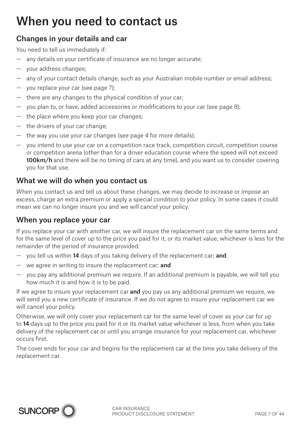# When you need to contact us

# Changes in your details and car

You need to tell us immediately if:

- any details on your certificate of insurance are no longer accurate;
- your address changes;
- any of your contact details change, such as your Australian mobile number or email address;
- you replace your car (see page 7);
- there are any changes to the physical condition of your car;
- you plan to, or have, added accessories or modifications to your car (see page 8);
- $-$  the place where you keep your car changes;
- the drivers of your car change;
- the way you use your car changes (see page 4 for more details);
- you intend to use your car on a competition race track, competition circuit, competition course or competition arena (other than for a driver education course where the speed will not exceed 100km/h and there will be no timing of cars at any time), and you want us to consider covering you for that use.

### What we will do when you contact us

When you contact us and tell us about these changes, we may decide to increase or impose an excess, charge an extra premium or apply a special condition to your policy. In some cases it could mean we can no longer insure you and we will cancel your policy.

### When you replace your car

If you replace your car with another car, we will insure the replacement car on the same terms and for the same level of cover up to the price you paid for it, or its market value, whichever is less for the remainder of the period of insurance provided:

- you tell us within 14 days of you taking delivery of the replacement car; and
- we agree in writing to insure the replacement car; and
- you pay any additional premium we require. If an additional premium is payable, we will tell you how much it is and how it is to be paid.

If we agree to insure your replacement car and you pay us any additional premium we require, we will send you a new certificate of insurance. If we do not agree to insure your replacement car we will cancel your policy.

Otherwise, we will only cover your replacement car for the same level of cover as your car for up to 14 days up to the price you paid for it or its market value whichever is less, from when you take delivery of the replacement car or until you arrange insurance for your replacement car, whichever occurs first.

The cover ends for your car and begins for the replacement car at the time you take delivery of the replacement car.



CAR INSURANCE PRODUCT DISCLOSURE STATEMENT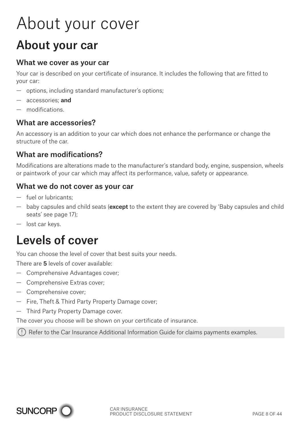# About your cover

# About your car

#### What we cover as your car

Your car is described on your certificate of insurance. It includes the following that are fitted to your car:

- options, including standard manufacturer's options;
- accessories; and
- modifications.

#### What are accessories?

An accessory is an addition to your car which does not enhance the performance or change the structure of the car.

### What are modifications?

Modifications are alterations made to the manufacturer's standard body, engine, suspension, wheels or paintwork of your car which may affect its performance, value, safety or appearance.

# What we do not cover as your car

- fuel or lubricants;
- $-$  baby capsules and child seats (except to the extent they are covered by 'Baby capsules and child seats' see page 17);
- lost car keys.

# Levels of cover

You can choose the level of cover that best suits your needs.

There are 5 levels of cover available:

- Comprehensive Advantages cover;
- Comprehensive Extras cover;
- Comprehensive cover;
- Fire, Theft & Third Party Property Damage cover;
- Third Party Property Damage cover.

The cover you choose will be shown on your certificate of insurance.

 $($ !) Refer to the Car Insurance Additional Information Guide for claims payments examples.

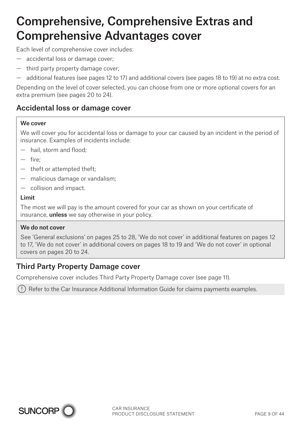# Comprehensive, Comprehensive Extras and Comprehensive Advantages cover

Each level of comprehensive cover includes:

- accidental loss or damage cover;
- third party property damage cover;
- additional features (see pages 12 to 17) and additional covers (see pages 18 to 19) at no extra cost.

Depending on the level of cover selected, you can choose from one or more optional covers for an extra premium (see pages 20 to 24).

#### Accidental loss or damage cover

#### We cover

We will cover you for accidental loss or damage to your car caused by an incident in the period of insurance. Examples of incidents include:

- hail, storm and flood;
- $-$  fire;
- theft or attempted theft;
- malicious damage or vandalism;
- collision and impact.

#### Limit

The most we will pay is the amount covered for your car as shown on your certificate of insurance, **unless** we say otherwise in your policy.

#### We do not cover

See 'General exclusions' on pages 25 to 28, 'We do not cover' in additional features on pages 12 to 17, 'We do not cover' in additional covers on pages 18 to 19 and 'We do not cover' in optional covers on pages 20 to 24.

#### Third Party Property Damage cover

Comprehensive cover includes Third Party Property Damage cover (see page 11).

Refer to the Car Insurance Additional Information Guide for claims payments examples.

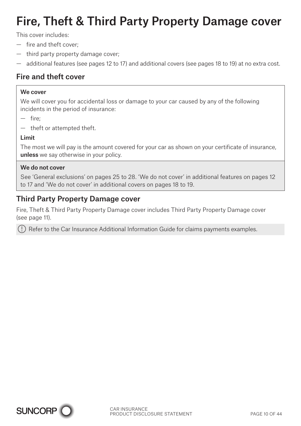# Fire, Theft & Third Party Property Damage cover

This cover includes:

- fire and theft cover;
- third party property damage cover;
- additional features (see pages 12 to 17) and additional covers (see pages 18 to 19) at no extra cost.

# Fire and theft cover

#### We cover

We will cover you for accidental loss or damage to your car caused by any of the following incidents in the period of insurance:

- $-$  fire;
- theft or attempted theft.

#### Limit

The most we will pay is the amount covered for your car as shown on your certificate of insurance, unless we say otherwise in your policy.

#### We do not cover

See 'General exclusions' on pages 25 to 28. 'We do not cover' in additional features on pages 12 to 17 and 'We do not cover' in additional covers on pages 18 to 19.

# Third Party Property Damage cover

Fire, Theft & Third Party Property Damage cover includes Third Party Property Damage cover (see page 11).

Refer to the Car Insurance Additional Information Guide for claims payments examples.

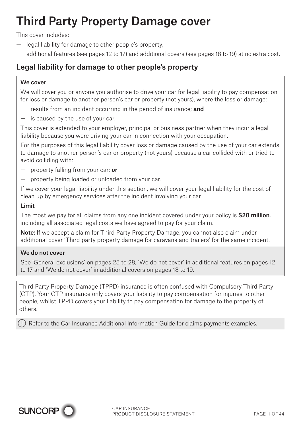# Third Party Property Damage cover

This cover includes:

- legal liability for damage to other people's property;
- additional features (see pages 12 to 17) and additional covers (see pages 18 to 19) at no extra cost.

# Legal liability for damage to other people's property

#### We cover

We will cover you or anyone you authorise to drive your car for legal liability to pay compensation for loss or damage to another person's car or property (not yours), where the loss or damage:

- results from an incident occurring in the period of insurance: and
- is caused by the use of your car.

This cover is extended to your employer, principal or business partner when they incur a legal liability because you were driving your car in connection with your occupation.

For the purposes of this legal liability cover loss or damage caused by the use of your car extends to damage to another person's car or property (not yours) because a car collided with or tried to avoid colliding with:

- $-$  property falling from your car; or
- property being loaded or unloaded from your car.

If we cover your legal liability under this section, we will cover your legal liability for the cost of clean up by emergency services after the incident involving your car.

#### Limit

The most we pay for all claims from any one incident covered under your policy is \$20 million. including all associated legal costs we have agreed to pay for your claim.

Note: If we accept a claim for Third Party Property Damage, you cannot also claim under additional cover 'Third party property damage for caravans and trailers' for the same incident.

#### We do not cover

See 'General exclusions' on pages 25 to 28, 'We do not cover' in additional features on pages 12 to 17 and 'We do not cover' in additional covers on pages 18 to 19.

Third Party Property Damage (TPPD) insurance is often confused with Compulsory Third Party (CTP). Your CTP insurance only covers your liability to pay compensation for injuries to other people, whilst TPPD covers your liability to pay compensation for damage to the property of others.

Refer to the Car Insurance Additional Information Guide for claims payments examples.

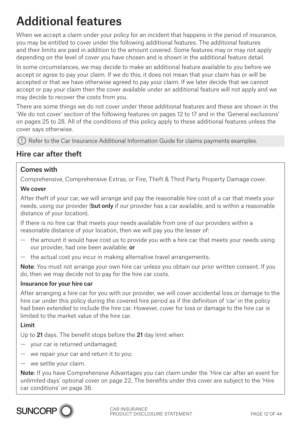# Additional features

When we accept a claim under your policy for an incident that happens in the period of insurance, you may be entitled to cover under the following additional features. The additional features and their limits are paid in addition to the amount covered. Some features may or may not apply depending on the level of cover you have chosen and is shown in the additional feature detail.

In some circumstances, we may decide to make an additional feature available to you before we accept or agree to pay your claim. If we do this, it does not mean that your claim has or will be accepted or that we have otherwise agreed to pay your claim. If we later decide that we cannot accept or pay your claim then the cover available under an additional feature will not apply and we may decide to recover the costs from you.

There are some things we do not cover under these additional features and these are shown in the 'We do not cover' section of the following features on pages 12 to 17 and in the 'General exclusions' on pages 25 to 28. All of the conditions of this policy apply to these additional features unless the cover says otherwise.

Refer to the Car Insurance Additional Information Guide for claims payments examples.

### Hire car after theft

#### Comes with

Comprehensive, Comprehensive Extras, or Fire, Theft & Third Party Property Damage cover.

#### We cover

After theft of your car, we will arrange and pay the reasonable hire cost of a car that meets your needs, using our provider (but only if our provider has a car available, and is within a reasonable distance of your location).

If there is no hire car that meets your needs available from one of our providers within a reasonable distance of your location, then we will pay you the lesser of:

- the amount it would have cost us to provide you with a hire car that meets your needs using our provider, had one been available; or
- $-$  the actual cost you incur in making alternative travel arrangements.

Note: You must not arrange your own hire car unless you obtain our prior written consent. If you do, then we may decide not to pay for the hire car costs.

#### Insurance for your hire car

After arranging a hire car for you with our provider, we will cover accidental loss or damage to the hire car under this policy during the covered hire period as if the definition of 'car' in the policy had been extended to include the hire car. However, cover for loss or damage to the hire car is limited to the market value of the hire car.

#### Limit

Up to 21 days. The benefit stops before the 21 day limit when:

- your car is returned undamaged;
- we repair your car and return it to you;
- we settle your claim.

Note: If you have Comprehensive Advantages you can claim under the 'Hire car after an event for unlimited days' optional cover on page 22. The benefits under this cover are subject to the 'Hire car conditions' on page 36.

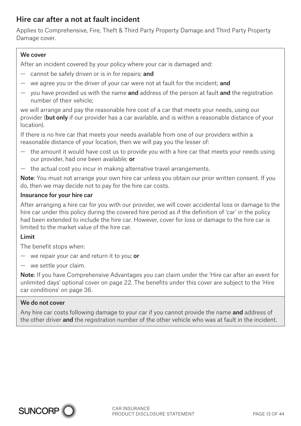# Hire car after a not at fault incident

Applies to Comprehensive, Fire, Theft & Third Party Property Damage and Third Party Property Damage cover.

#### We cover

After an incident covered by your policy where your car is damaged and:

- $-$  cannot be safely driven or is in for repairs; and
- we agree you or the driver of your car were not at fault for the incident; and
- you have provided us with the name and address of the person at fault and the registration number of their vehicle;

we will arrange and pay the reasonable hire cost of a car that meets your needs, using our provider (but only if our provider has a car available, and is within a reasonable distance of your location).

If there is no hire car that meets your needs available from one of our providers within a reasonable distance of your location, then we will pay you the lesser of:

- the amount it would have cost us to provide you with a hire car that meets your needs using our provider, had one been available; or
- $-$  the actual cost you incur in making alternative travel arrangements.

Note: You must not arrange your own hire car unless you obtain our prior written consent. If you do, then we may decide not to pay for the hire car costs.

#### Insurance for your hire car

After arranging a hire car for you with our provider, we will cover accidental loss or damage to the hire car under this policy during the covered hire period as if the definition of 'car' in the policy had been extended to include the hire car. However, cover for loss or damage to the hire car is limited to the market value of the hire car.

#### Limit

The benefit stops when:

- we repair your car and return it to you; or
- we settle your claim.

Note: If you have Comprehensive Advantages you can claim under the 'Hire car after an event for unlimited days' optional cover on page 22. The benefits under this cover are subject to the 'Hire car conditions' on page 36.

#### We do not cover

Any hire car costs following damage to your car if you cannot provide the name and address of the other driver **and** the registration number of the other vehicle who was at fault in the incident.

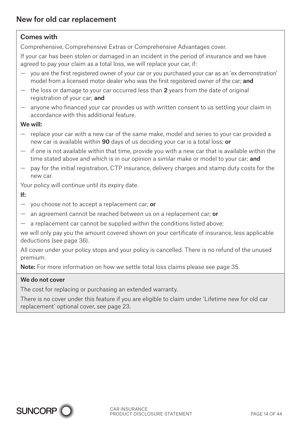#### Comes with

Comprehensive, Comprehensive Extras or Comprehensive Advantages cover.

If your car has been stolen or damaged in an incident in the period of insurance and we have agreed to pay your claim as a total loss, we will replace your car, if:

- you are the first registered owner of your car or you purchased your car as an 'ex demonstration' model from a licensed motor dealer who was the first registered owner of the car; and
- the loss or damage to your car occurred less than  $2$  years from the date of original registration of your car; and
- anyone who financed your car provides us with written consent to us settling your claim in accordance with this additional feature.

#### We will:

- replace your car with a new car of the same make, model and series to your car provided a new car is available within 90 days of us deciding your car is a total loss; or
- $-$  if one is not available within that time, provide you with a new car that is available within the time stated above and which is in our opinion a similar make or model to your car; and
- pay for the initial registration, CTP insurance, delivery charges and stamp duty costs for the new car.

Your policy will continue until its expiry date.

#### If:

- you choose not to accept a replacement car; or
- an agreement cannot be reached between us on a replacement car; or
- $-$  a replacement car cannot be supplied within the conditions listed above:

we will only pay you the amount covered shown on your certificate of insurance, less applicable deductions (see page 36).

All cover under your policy stops and your policy is cancelled. There is no refund of the unused premium.

Note: For more information on how we settle total loss claims please see page 35.

#### We do not cover

The cost for replacing or purchasing an extended warranty.

There is no cover under this feature if you are eligible to claim under 'Lifetime new for old car replacement' optional cover, see page 23.

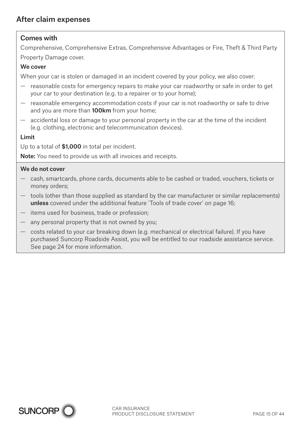# After claim expenses

#### Comes with

Comprehensive, Comprehensive Extras, Comprehensive Advantages or Fire, Theft & Third Party Property Damage cover.

#### We cover

When your car is stolen or damaged in an incident covered by your policy, we also cover:

- reasonable costs for emergency repairs to make your car roadworthy or safe in order to get your car to your destination (e.g. to a repairer or to your home);
- reasonable emergency accommodation costs if your car is not roadworthy or safe to drive and you are more than 100km from your home;
- accidental loss or damage to your personal property in the car at the time of the incident (e.g. clothing, electronic and telecommunication devices).

#### Limit

Up to a total of **\$1,000** in total per incident.

Note: You need to provide us with all invoices and receipts.

#### We do not cover

- cash, smartcards, phone cards, documents able to be cashed or traded, vouchers, tickets or money orders;
- tools (other than those supplied as standard by the car manufacturer or similar replacements) unless covered under the additional feature 'Tools of trade cover' on page 16;
- items used for business, trade or profession;
- any personal property that is not owned by you;
- costs related to your car breaking down (e.g. mechanical or electrical failure). If you have purchased Suncorp Roadside Assist, you will be entitled to our roadside assistance service. See page 24 for more information.

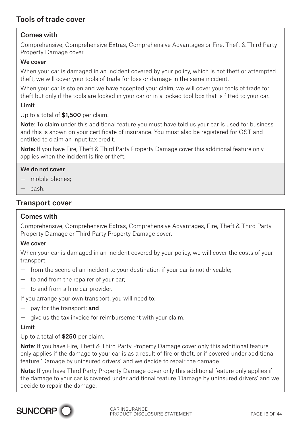# Tools of trade cover

#### Comes with

Comprehensive, Comprehensive Extras, Comprehensive Advantages or Fire, Theft & Third Party Property Damage cover.

#### We cover

When your car is damaged in an incident covered by your policy, which is not theft or attempted theft, we will cover your tools of trade for loss or damage in the same incident.

When your car is stolen and we have accepted your claim, we will cover your tools of trade for theft but only if the tools are locked in your car or in a locked tool box that is fitted to your car.

#### Limit

Up to a total of \$1,500 per claim.

Note: To claim under this additional feature you must have told us your car is used for business and this is shown on your certificate of insurance. You must also be registered for GST and entitled to claim an input tax credit.

Note: If you have Fire, Theft & Third Party Property Damage cover this additional feature only applies when the incident is fire or theft.

#### We do not cover

- mobile phones;
- cash.

#### Transport cover

#### Comes with

Comprehensive, Comprehensive Extras, Comprehensive Advantages, Fire, Theft & Third Party Property Damage or Third Party Property Damage cover.

#### We cover

When your car is damaged in an incident covered by your policy, we will cover the costs of your transport:

- from the scene of an incident to your destination if your car is not driveable;
- to and from the repairer of your car;
- to and from a hire car provider.

If you arrange your own transport, you will need to:

- pay for the transport; and
- give us the tax invoice for reimbursement with your claim.

#### Limit

Up to a total of \$250 per claim.

Note: If you have Fire, Theft & Third Party Property Damage cover only this additional feature only applies if the damage to your car is as a result of fire or theft, or if covered under additional feature 'Damage by uninsured drivers' and we decide to repair the damage.

Note: If you have Third Party Property Damage cover only this additional feature only applies if the damage to your car is covered under additional feature 'Damage by uninsured drivers' and we decide to repair the damage.

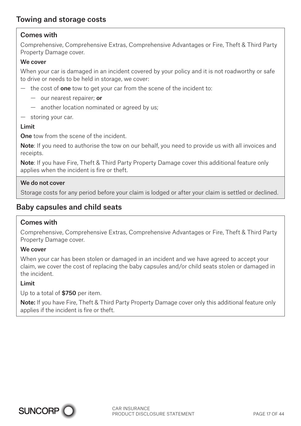### Towing and storage costs

#### Comes with

Comprehensive, Comprehensive Extras, Comprehensive Advantages or Fire, Theft & Third Party Property Damage cover.

#### We cover

When your car is damaged in an incident covered by your policy and it is not roadworthy or safe to drive or needs to be held in storage, we cover:

- the cost of **one** tow to get your car from the scene of the incident to:
	- $-$  our nearest repairer; or
	- another location nominated or agreed by us;
- storing your car.

#### Limit

One tow from the scene of the incident.

Note: If vou need to authorise the tow on our behalf, you need to provide us with all invoices and receipts.

Note: If you have Fire, Theft & Third Party Property Damage cover this additional feature only applies when the incident is fire or theft.

#### We do not cover

Storage costs for any period before your claim is lodged or after your claim is settled or declined.

#### Baby capsules and child seats

#### Comes with

Comprehensive, Comprehensive Extras, Comprehensive Advantages or Fire, Theft & Third Party Property Damage cover.

#### We cover

When your car has been stolen or damaged in an incident and we have agreed to accept your claim, we cover the cost of replacing the baby capsules and/or child seats stolen or damaged in the incident.

#### Limit

Up to a total of \$750 per item.

Note: If you have Fire, Theft & Third Party Property Damage cover only this additional feature only applies if the incident is fire or theft.



CAR INSURANCE PRODUCT DISCLOSURE STATEMENT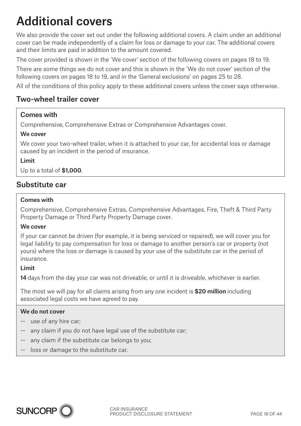# Additional covers

We also provide the cover set out under the following additional covers. A claim under an additional cover can be made independently of a claim for loss or damage to your car. The additional covers and their limits are paid in addition to the amount covered.

The cover provided is shown in the 'We cover' section of the following covers on pages 18 to 19.

There are some things we do not cover and this is shown in the 'We do not cover' section of the following covers on pages 18 to 19, and in the 'General exclusions' on pages 25 to 28.

All of the conditions of this policy apply to these additional covers unless the cover says otherwise.

#### Two-wheel trailer cover

#### Comes with

Comprehensive, Comprehensive Extras or Comprehensive Advantages cover.

#### We cover

We cover your two-wheel trailer, when it is attached to your car, for accidental loss or damage caused by an incident in the period of insurance.

#### Limit

Up to a total of \$1,000.

#### Substitute car

#### Comes with

Comprehensive, Comprehensive Extras, Comprehensive Advantages, Fire, Theft & Third Party Property Damage or Third Party Property Damage cover.

#### We cover

If your car cannot be driven (for example, it is being serviced or repaired), we will cover you for legal liability to pay compensation for loss or damage to another person's car or property (not yours) where the loss or damage is caused by your use of the substitute car in the period of insurance.

#### Limit

14 days from the day your car was not driveable, or until it is driveable, whichever is earlier.

The most we will pay for all claims arising from any one incident is \$20 million including associated legal costs we have agreed to pay.

#### We do not cover

- use of any hire car;
- any claim if you do not have legal use of the substitute car;
- any claim if the substitute car belongs to you;
- loss or damage to the substitute car.

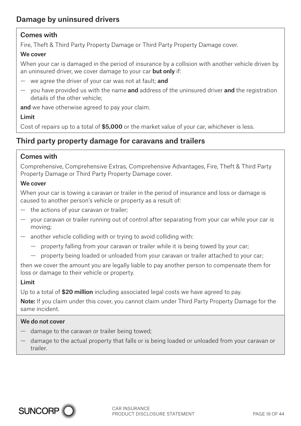## Damage by uninsured drivers

#### Comes with

Fire, Theft & Third Party Property Damage or Third Party Property Damage cover.

#### We cover

When your car is damaged in the period of insurance by a collision with another vehicle driven by an uninsured driver, we cover damage to your car but only if:

- we agree the driver of your car was not at fault; and
- $-$  you have provided us with the name and address of the uninsured driver and the registration details of the other vehicle;

and we have otherwise agreed to pay your claim.

#### Limit

Cost of repairs up to a total of \$5,000 or the market value of your car, whichever is less.

#### Third party property damage for caravans and trailers

#### Comes with

Comprehensive, Comprehensive Extras, Comprehensive Advantages, Fire, Theft & Third Party Property Damage or Third Party Property Damage cover.

#### We cover

When your car is towing a caravan or trailer in the period of insurance and loss or damage is caused to another person's vehicle or property as a result of:

- the actions of your caravan or trailer;
- your caravan or trailer running out of control after separating from your car while your car is moving;
- another vehicle colliding with or trying to avoid colliding with:
	- property falling from your caravan or trailer while it is being towed by your car;
	- property being loaded or unloaded from your caravan or trailer attached to your car;

then we cover the amount you are legally liable to pay another person to compensate them for loss or damage to their vehicle or property.

#### Limit

Up to a total of \$20 million including associated legal costs we have agreed to pay.

Note: If you claim under this cover, you cannot claim under Third Party Property Damage for the same incident.

#### We do not cover

- damage to the caravan or trailer being towed;
- damage to the actual property that falls or is being loaded or unloaded from your caravan or trailer.

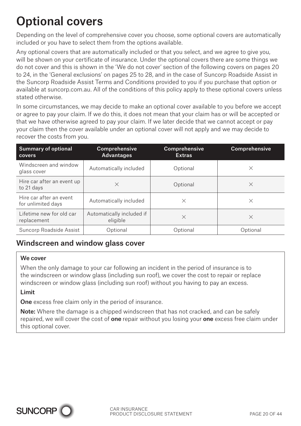# Optional covers

Depending on the level of comprehensive cover you choose, some optional covers are automatically included or you have to select them from the options available.

Any optional covers that are automatically included or that you select, and we agree to give you, will be shown on your certificate of insurance. Under the optional covers there are some things we do not cover and this is shown in the 'We do not cover' section of the following covers on pages 20 to 24, in the 'General exclusions' on pages 25 to 28, and in the case of Suncorp Roadside Assist in the Suncorp Roadside Assist Terms and Conditions provided to you if you purchase that option or available at suncorp.com.au. All of the conditions of this policy apply to these optional covers unless stated otherwise.

In some circumstances, we may decide to make an optional cover available to you before we accept or agree to pay your claim. If we do this, it does not mean that your claim has or will be accepted or that we have otherwise agreed to pay your claim. If we later decide that we cannot accept or pay your claim then the cover available under an optional cover will not apply and we may decide to recover the costs from you.

| <b>Summary of optional</b><br>covers          | Comprehensive<br><b>Advantages</b>    | <b>Comprehensive</b><br><b>Extras</b> | <b>Comprehensive</b> |
|-----------------------------------------------|---------------------------------------|---------------------------------------|----------------------|
| Windscreen and window<br>glass cover          | Automatically included                | Optional                              | $\times$             |
| Hire car after an event up<br>to 21 days      | $\times$                              | Optional                              | $\times$             |
| Hire car after an event<br>for unlimited days | Automatically included                | $\times$                              | $\times$             |
| Lifetime new for old car<br>replacement       | Automatically included if<br>eligible | $\times$                              | $\times$             |
| Suncorp Roadside Assist                       | Optional                              | Optional                              | Optional             |

#### Windscreen and window glass cover

#### We cover

When the only damage to your car following an incident in the period of insurance is to the windscreen or window glass (including sun roof), we cover the cost to repair or replace windscreen or window glass (including sun roof) without you having to pay an excess.

#### Limit

**One** excess free claim only in the period of insurance.

Note: Where the damage is a chipped windscreen that has not cracked, and can be safely repaired, we will cover the cost of **one** repair without you losing your **one** excess free claim under this optional cover.

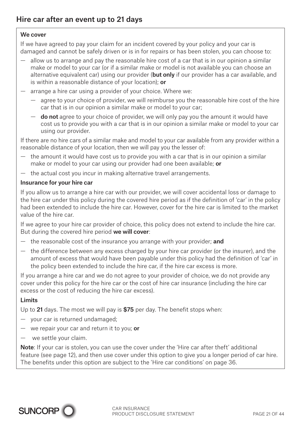#### We cover

If we have agreed to pay your claim for an incident covered by your policy and your car is damaged and cannot be safely driven or is in for repairs or has been stolen, you can choose to:

- allow us to arrange and pay the reasonable hire cost of a car that is in our opinion a similar make or model to your car (or if a similar make or model is not available you can choose an alternative equivalent car) using our provider (but only if our provider has a car available, and is within a reasonable distance of your location); or
- arrange a hire car using a provider of your choice. Where we:
	- agree to your choice of provider, we will reimburse you the reasonable hire cost of the hire car that is in our opinion a similar make or model to your car;
	- $-$  do not agree to your choice of provider, we will only pay you the amount it would have cost us to provide you with a car that is in our opinion a similar make or model to your car using our provider.

If there are no hire cars of a similar make and model to your car available from any provider within a reasonable distance of your location, then we will pay you the lesser of:

- the amount it would have cost us to provide you with a car that is in our opinion a similar make or model to your car using our provider had one been available; or
- $-$  the actual cost you incur in making alternative travel arrangements.

#### Insurance for your hire car

If you allow us to arrange a hire car with our provider, we will cover accidental loss or damage to the hire car under this policy during the covered hire period as if the definition of 'car' in the policy had been extended to include the hire car. However, cover for the hire car is limited to the market value of the hire car.

If we agree to your hire car provider of choice, this policy does not extend to include the hire car. But during the covered hire period we will cover:

- the reasonable cost of the insurance you arrange with your provider; and
- the difference between any excess charged by your hire car provider (or the insurer), and the amount of excess that would have been payable under this policy had the definition of 'car' in the policy been extended to include the hire car, if the hire car excess is more.

If you arrange a hire car and we do not agree to your provider of choice, we do not provide any cover under this policy for the hire car or the cost of hire car insurance (including the hire car excess or the cost of reducing the hire car excess).

#### Limits

Up to 21 days. The most we will pay is  $$75$  per day. The benefit stops when:

- your car is returned undamaged;
- we repair your car and return it to you; or
- we settle your claim.

Note: If your car is stolen, you can use the cover under the 'Hire car after theft' additional feature (see page 12), and then use cover under this option to give you a longer period of car hire. The benefits under this option are subject to the 'Hire car conditions' on page 36.

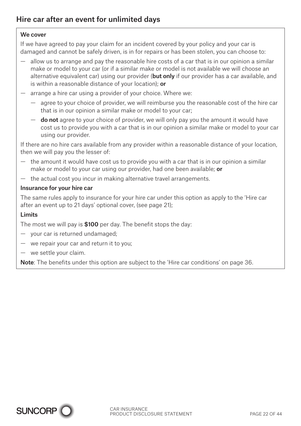# Hire car after an event for unlimited days

#### We cover

If we have agreed to pay your claim for an incident covered by your policy and your car is damaged and cannot be safely driven, is in for repairs or has been stolen, you can choose to:

- allow us to arrange and pay the reasonable hire costs of a car that is in our opinion a similar make or model to your car (or if a similar make or model is not available we will choose an alternative equivalent car) using our provider (**but only** if our provider has a car available, and is within a reasonable distance of your location); or
- arrange a hire car using a provider of your choice. Where we:
	- agree to your choice of provider, we will reimburse you the reasonable cost of the hire car that is in our opinion a similar make or model to your car;
	- $-$  do not agree to your choice of provider, we will only pay you the amount it would have cost us to provide you with a car that is in our opinion a similar make or model to your car using our provider.

If there are no hire cars available from any provider within a reasonable distance of your location, then we will pay you the lesser of:

- $-$  the amount it would have cost us to provide you with a car that is in our opinion a similar make or model to your car using our provider, had one been available; or
- $-$  the actual cost you incur in making alternative travel arrangements.

#### Insurance for your hire car

The same rules apply to insurance for your hire car under this option as apply to the 'Hire car after an event up to 21 days' optional cover, (see page 21);

#### Limits

The most we will pay is \$100 per day. The benefit stops the day:

- your car is returned undamaged;
- we repair your car and return it to you;
- we settle your claim.

Note: The benefits under this option are subject to the 'Hire car conditions' on page 36.

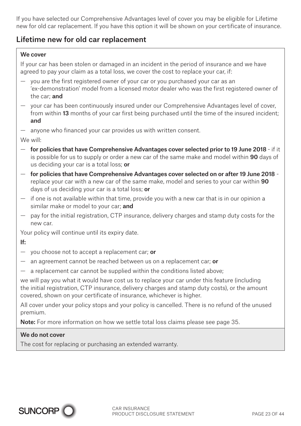If you have selected our Comprehensive Advantages level of cover you may be eligible for Lifetime new for old car replacement. If you have this option it will be shown on your certificate of insurance.

### Lifetime new for old car replacement

#### We cover

If your car has been stolen or damaged in an incident in the period of insurance and we have agreed to pay your claim as a total loss, we cover the cost to replace your car, if:

- you are the first registered owner of your car or you purchased your car as an 'ex-demonstration' model from a licensed motor dealer who was the first registered owner of the car; and
- your car has been continuously insured under our Comprehensive Advantages level of cover, from within 13 months of your car first being purchased until the time of the insured incident; and
- anyone who financed your car provides us with written consent.

We will:

- for policies that have Comprehensive Advantages cover selected prior to 19 June 2018 if it is possible for us to supply or order a new car of the same make and model within 90 days of us deciding your car is a total loss; or
- for policies that have Comprehensive Advantages cover selected on or after 19 June 2018 replace your car with a new car of the same make, model and series to your car within 90 days of us deciding your car is a total loss; or
- $-$  if one is not available within that time, provide you with a new car that is in our opinion a similar make or model to your car; and
- pay for the initial registration, CTP insurance, delivery charges and stamp duty costs for the new car.

Your policy will continue until its expiry date.

If:

- $-$  you choose not to accept a replacement car; or
- an agreement cannot be reached between us on a replacement car; **or**
- a replacement car cannot be supplied within the conditions listed above;

we will pay you what it would have cost us to replace your car under this feature (including the initial registration, CTP insurance, delivery charges and stamp duty costs), or the amount covered, shown on your certificate of insurance, whichever is higher.

All cover under your policy stops and your policy is cancelled. There is no refund of the unused premium.

Note: For more information on how we settle total loss claims please see page 35.

#### We do not cover

The cost for replacing or purchasing an extended warranty.

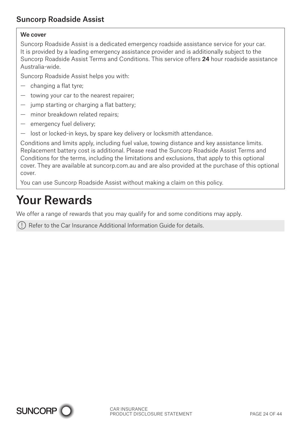# Suncorp Roadside Assist

#### We cover

Suncorp Roadside Assist is a dedicated emergency roadside assistance service for your car. It is provided by a leading emergency assistance provider and is additionally subject to the Suncorp Roadside Assist Terms and Conditions. This service offers 24 hour roadside assistance Australia-wide.

Suncorp Roadside Assist helps you with:

- changing a flat tyre;
- towing your car to the nearest repairer;
- jump starting or charging a flat battery;
- minor breakdown related repairs;
- emergency fuel delivery;
- lost or locked-in keys, by spare key delivery or locksmith attendance.

Conditions and limits apply, including fuel value, towing distance and key assistance limits. Replacement battery cost is additional. Please read the Suncorp Roadside Assist Terms and Conditions for the terms, including the limitations and exclusions, that apply to this optional cover. They are available at suncorp.com.au and are also provided at the purchase of this optional cover.

You can use Suncorp Roadside Assist without making a claim on this policy.

# Your Rewards

We offer a range of rewards that you may qualify for and some conditions may apply.

 $($ .) Refer to the Car Insurance Additional Information Guide for details.

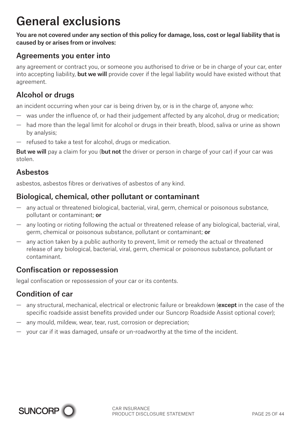# General exclusions

You are not covered under any section of this policy for damage, loss, cost or legal liability that is caused by or arises from or involves:

# Agreements you enter into

any agreement or contract you, or someone you authorised to drive or be in charge of your car, enter into accepting liability, but we will provide cover if the legal liability would have existed without that agreement.

# Alcohol or drugs

an incident occurring when your car is being driven by, or is in the charge of, anyone who:

- was under the influence of, or had their judgement affected by any alcohol, drug or medication;
- had more than the legal limit for alcohol or drugs in their breath, blood, saliva or urine as shown by analysis;
- refused to take a test for alcohol, drugs or medication.

But we will pay a claim for you (but not the driver or person in charge of your car) if your car was stolen.

# Asbestos

asbestos, asbestos fibres or derivatives of asbestos of any kind.

# Biological, chemical, other pollutant or contaminant

- any actual or threatened biological, bacterial, viral, germ, chemical or poisonous substance, pollutant or contaminant; or
- any looting or rioting following the actual or threatened release of any biological, bacterial, viral, germ, chemical or poisonous substance, pollutant or contaminant; or
- any action taken by a public authority to prevent, limit or remedy the actual or threatened release of any biological, bacterial, viral, germ, chemical or poisonous substance, pollutant or contaminant.

# Confiscation or repossession

legal confiscation or repossession of your car or its contents.

# Condition of car

- any structural, mechanical, electrical or electronic failure or breakdown (except in the case of the specific roadside assist benefits provided under our Suncorp Roadside Assist optional cover);
- any mould, mildew, wear, tear, rust, corrosion or depreciation;
- your car if it was damaged, unsafe or un-roadworthy at the time of the incident.

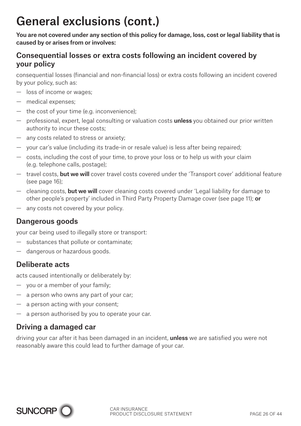# General exclusions (cont.)

You are not covered under any section of this policy for damage, loss, cost or legal liability that is caused by or arises from or involves:

#### Consequential losses or extra costs following an incident covered by your policy

consequential losses (financial and non-financial loss) or extra costs following an incident covered by your policy, such as:

- loss of income or wages;
- medical expenses;
- the cost of your time (e.g. inconvenience);
- professional, expert, legal consulting or valuation costs **unless** you obtained our prior written authority to incur these costs;
- any costs related to stress or anxiety;
- your car's value (including its trade-in or resale value) is less after being repaired;
- costs, including the cost of your time, to prove your loss or to help us with your claim (e.g. telephone calls, postage);
- $-$  travel costs, but we will cover travel costs covered under the 'Transport cover' additional feature (see page 16);
- cleaning costs, but we will cover cleaning costs covered under 'Legal liability for damage to other people's property' included in Third Party Property Damage cover (see page 11); or
- any costs not covered by your policy.

#### Dangerous goods

your car being used to illegally store or transport:

- substances that pollute or contaminate;
- dangerous or hazardous goods.

#### Deliberate acts

acts caused intentionally or deliberately by:

- you or a member of your family;
- a person who owns any part of your car;
- a person acting with your consent;
- a person authorised by you to operate your car.

#### Driving a damaged car

driving your car after it has been damaged in an incident, **unless** we are satisfied you were not reasonably aware this could lead to further damage of your car.

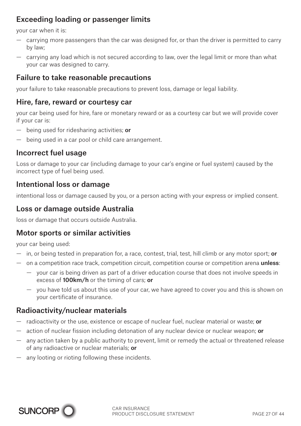# Exceeding loading or passenger limits

your car when it is:

- carrying more passengers than the car was designed for, or than the driver is permitted to carry by law;
- carrying any load which is not secured according to law, over the legal limit or more than what your car was designed to carry.

#### Failure to take reasonable precautions

your failure to take reasonable precautions to prevent loss, damage or legal liability.

#### Hire, fare, reward or courtesy car

your car being used for hire, fare or monetary reward or as a courtesy car but we will provide cover if your car is:

- being used for ridesharing activities; or
- being used in a car pool or child care arrangement.

#### Incorrect fuel usage

Loss or damage to your car (including damage to your car's engine or fuel system) caused by the incorrect type of fuel being used.

#### Intentional loss or damage

intentional loss or damage caused by you, or a person acting with your express or implied consent.

#### Loss or damage outside Australia

loss or damage that occurs outside Australia.

#### Motor sports or similar activities

your car being used:

- $-$  in, or being tested in preparation for, a race, contest, trial, test, hill climb or any motor sport; or
- $-$  on a competition race track, competition circuit, competition course or competition arena **unless**:
	- your car is being driven as part of a driver education course that does not involve speeds in excess of 100km/h or the timing of cars; or
	- you have told us about this use of your car, we have agreed to cover you and this is shown on your certificate of insurance.

#### Radioactivity/nuclear materials

- $-$  radioactivity or the use, existence or escape of nuclear fuel, nuclear material or waste; or
- action of nuclear fission including detonation of any nuclear device or nuclear weapon; or
- any action taken by a public authority to prevent, limit or remedy the actual or threatened release of any radioactive or nuclear materials; or
- any looting or rioting following these incidents.

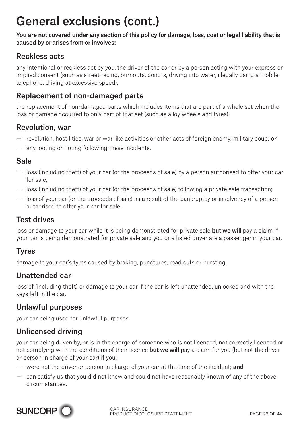# General exclusions (cont.)

#### You are not covered under any section of this policy for damage, loss, cost or legal liability that is caused by or arises from or involves:

# Reckless acts

any intentional or reckless act by you, the driver of the car or by a person acting with your express or implied consent (such as street racing, burnouts, donuts, driving into water, illegally using a mobile telephone, driving at excessive speed).

# Replacement of non-damaged parts

the replacement of non-damaged parts which includes items that are part of a whole set when the loss or damage occurred to only part of that set (such as alloy wheels and tyres).

### Revolution, war

- $-$  revolution, hostilities, war or war like activities or other acts of foreign enemy, military coup; or
- any looting or rioting following these incidents.

#### Sale

- loss (including theft) of your car (or the proceeds of sale) by a person authorised to offer your car for sale;
- loss (including theft) of your car (or the proceeds of sale) following a private sale transaction;
- loss of your car (or the proceeds of sale) as a result of the bankruptcy or insolvency of a person authorised to offer your car for sale.

# Test drives

loss or damage to your car while it is being demonstrated for private sale but we will pay a claim if your car is being demonstrated for private sale and you or a listed driver are a passenger in your car.

# Tyres

damage to your car's tyres caused by braking, punctures, road cuts or bursting.

# Unattended car

loss of (including theft) or damage to your car if the car is left unattended, unlocked and with the keys left in the car.

# Unlawful purposes

your car being used for unlawful purposes.

# Unlicensed driving

your car being driven by, or is in the charge of someone who is not licensed, not correctly licensed or not complying with the conditions of their licence **but we will** pay a claim for you (but not the driver or person in charge of your car) if you:

- were not the driver or person in charge of your car at the time of the incident; and
- can satisfy us that you did not know and could not have reasonably known of any of the above circumstances.

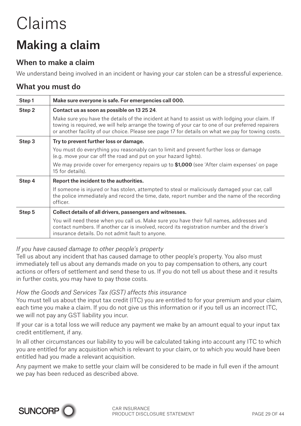# Claims

# Making a claim

# When to make a claim

We understand being involved in an incident or having your car stolen can be a stressful experience.

### What you must do

| Step 1 | Make sure everyone is safe. For emergencies call 000.                                                                                                                                                                                                                                                      |
|--------|------------------------------------------------------------------------------------------------------------------------------------------------------------------------------------------------------------------------------------------------------------------------------------------------------------|
| Step 2 | Contact us as soon as possible on 13 25 24.                                                                                                                                                                                                                                                                |
|        | Make sure you have the details of the incident at hand to assist us with lodging your claim. If<br>towing is required, we will help arrange the towing of your car to one of our preferred repairers<br>or another facility of our choice. Please see page 17 for details on what we pay for towing costs. |
| Step 3 | Try to prevent further loss or damage.                                                                                                                                                                                                                                                                     |
|        | You must do everything you reasonably can to limit and prevent further loss or damage<br>(e.g. move your car off the road and put on your hazard lights).                                                                                                                                                  |
|        | We may provide cover for emergency repairs up to \$1,000 (see 'After claim expenses' on page<br>15 for details).                                                                                                                                                                                           |
| Step 4 | Report the incident to the authorities.                                                                                                                                                                                                                                                                    |
|        | If someone is injured or has stolen, attempted to steal or maliciously damaged your car, call<br>the police immediately and record the time, date, report number and the name of the recording<br>officer.                                                                                                 |
| Step 5 | Collect details of all drivers, passengers and witnesses.                                                                                                                                                                                                                                                  |
|        | You will need these when you call us. Make sure you have their full names, addresses and<br>contact numbers. If another car is involved, record its registration number and the driver's<br>insurance details. Do not admit fault to anyone.                                                               |

#### *If you have caused damage to other people's property*

Tell us about any incident that has caused damage to other people's property. You also must immediately tell us about any demands made on you to pay compensation to others, any court actions or offers of settlement and send these to us. If you do not tell us about these and it results in further costs, you may have to pay those costs.

#### *How the Goods and Services Tax (GST) affects this insurance*

You must tell us about the input tax credit (ITC) you are entitled to for your premium and your claim, each time you make a claim. If you do not give us this information or if you tell us an incorrect ITC, we will not pay any GST liability you incur.

If your car is a total loss we will reduce any payment we make by an amount equal to your input tax credit entitlement, if any.

In all other circumstances our liability to you will be calculated taking into account any ITC to which you are entitled for any acquisition which is relevant to your claim, or to which you would have been entitled had you made a relevant acquisition.

Any payment we make to settle your claim will be considered to be made in full even if the amount we pay has been reduced as described above.

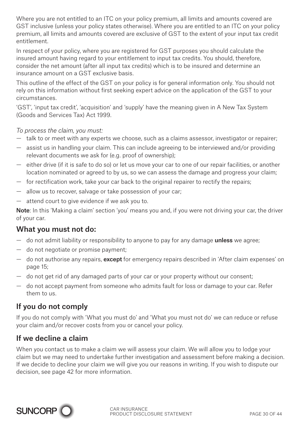Where you are not entitled to an ITC on your policy premium, all limits and amounts covered are GST inclusive (unless your policy states otherwise). Where you are entitled to an ITC on your policy premium, all limits and amounts covered are exclusive of GST to the extent of your input tax credit entitlement.

In respect of your policy, where you are registered for GST purposes you should calculate the insured amount having regard to your entitlement to input tax credits. You should, therefore, consider the net amount (after all input tax credits) which is to be insured and determine an insurance amount on a GST exclusive basis.

This outline of the effect of the GST on your policy is for general information only. You should not rely on this information without first seeking expert advice on the application of the GST to your circumstances.

'GST', 'input tax credit', 'acquisition' and 'supply' have the meaning given in A New Tax System (Goods and Services Tax) Act 1999.

*To process the claim, you must:*

- talk to or meet with any experts we choose, such as a claims assessor, investigator or repairer;
- assist us in handling your claim. This can include agreeing to be interviewed and/or providing relevant documents we ask for (e.g. proof of ownership);
- either drive (if it is safe to do so) or let us move your car to one of our repair facilities, or another location nominated or agreed to by us, so we can assess the damage and progress your claim;
- $-$  for rectification work, take your car back to the original repairer to rectify the repairs;
- allow us to recover, salvage or take possession of your car;
- attend court to give evidence if we ask you to.

Note: In this 'Making a claim' section 'you' means you and, if you were not driving your car, the driver of your car.

#### What you must not do:

- $-$  do not admit liability or responsibility to anyone to pay for any damage **unless** we agree;
- do not negotiate or promise payment;
- do not authorise any repairs, **except** for emergency repairs described in 'After claim expenses' on page 15;
- do not get rid of any damaged parts of your car or your property without our consent;
- do not accept payment from someone who admits fault for loss or damage to your car. Refer them to us.

# If you do not comply

If you do not comply with 'What you must do' and 'What you must not do' we can reduce or refuse your claim and/or recover costs from you or cancel your policy.

#### If we decline a claim

When you contact us to make a claim we will assess your claim. We will allow you to lodge your claim but we may need to undertake further investigation and assessment before making a decision. If we decide to decline your claim we will give you our reasons in writing. If you wish to dispute our decision, see page 42 for more information.

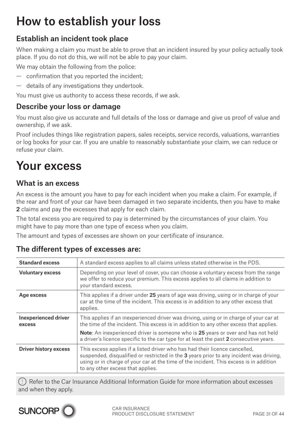# How to establish your loss

# Establish an incident took place

When making a claim you must be able to prove that an incident insured by your policy actually took place. If you do not do this, we will not be able to pay your claim.

We may obtain the following from the police:

- confirmation that you reported the incident;
- details of any investigations they undertook.

You must give us authority to access these records, if we ask.

# Describe your loss or damage

You must also give us accurate and full details of the loss or damage and give us proof of value and ownership, if we ask.

Proof includes things like registration papers, sales receipts, service records, valuations, warranties or log books for your car. If you are unable to reasonably substantiate your claim, we can reduce or refuse your claim.

# Your excess

# What is an excess

An excess is the amount you have to pay for each incident when you make a claim. For example, if the rear and front of your car have been damaged in two separate incidents, then you have to make 2 claims and pay the excesses that apply for each claim.

The total excess you are required to pay is determined by the circumstances of your claim. You might have to pay more than one type of excess when you claim.

The amount and types of excesses are shown on your certificate of insurance.

| <b>Standard excess</b>         | A standard excess applies to all claims unless stated otherwise in the PDS.                                                                                                                                                                                                                                                                                     |
|--------------------------------|-----------------------------------------------------------------------------------------------------------------------------------------------------------------------------------------------------------------------------------------------------------------------------------------------------------------------------------------------------------------|
| <b>Voluntary excess</b>        | Depending on your level of cover, you can choose a voluntary excess from the range<br>we offer to reduce your premium. This excess applies to all claims in addition to<br>your standard excess.                                                                                                                                                                |
| Age excess                     | This applies if a driver under 25 years of age was driving, using or in charge of your<br>car at the time of the incident. This excess is in addition to any other excess that<br>applies.                                                                                                                                                                      |
| Inexperienced driver<br>excess | This applies if an inexperienced driver was driving, using or in charge of your car at<br>the time of the incident. This excess is in addition to any other excess that applies.<br>Note: An inexperienced driver is someone who is 25 years or over and has not held<br>a driver's licence specific to the car type for at least the past 2 consecutive years. |
| Driver history excess          | This excess applies if a listed driver who has had their licence cancelled,<br>suspended, disqualified or restricted in the 3 years prior to any incident was driving,<br>using or in charge of your car at the time of the incident. This excess is in addition<br>to any other excess that applies.                                                           |

#### The different types of excesses are:

Refer to the Car Insurance Additional Information Guide for more information about excesses and when they apply.

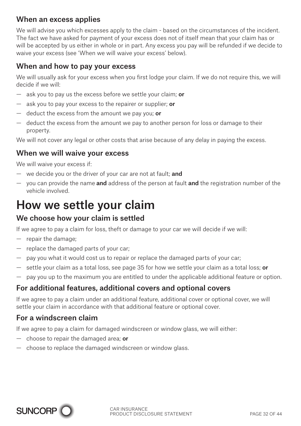# When an excess applies

We will advise you which excesses apply to the claim - based on the circumstances of the incident. The fact we have asked for payment of your excess does not of itself mean that your claim has or will be accepted by us either in whole or in part. Any excess you pay will be refunded if we decide to waive your excess (see 'When we will waive your excess' below).

### When and how to pay your excess

We will usually ask for your excess when you first lodge your claim. If we do not require this, we will decide if we will:

- $-$  ask you to pay us the excess before we settle your claim; or
- ask you to pay your excess to the repairer or supplier; or
- $-$  deduct the excess from the amount we pay you; or
- deduct the excess from the amount we pay to another person for loss or damage to their property.

We will not cover any legal or other costs that arise because of any delay in paying the excess.

#### When we will waive your excess

We will waive your excess if:

- we decide you or the driver of your car are not at fault; and
- $-$  you can provide the name and address of the person at fault and the registration number of the vehicle involved.

# How we settle your claim

#### We choose how your claim is settled

If we agree to pay a claim for loss, theft or damage to your car we will decide if we will:

- repair the damage;
- replace the damaged parts of your car;
- pay you what it would cost us to repair or replace the damaged parts of your car;
- $-$  settle your claim as a total loss, see page 35 for how we settle your claim as a total loss; or
- pay you up to the maximum you are entitled to under the applicable additional feature or option.

# For additional features, additional covers and optional covers

If we agree to pay a claim under an additional feature, additional cover or optional cover, we will settle your claim in accordance with that additional feature or optional cover.

# For a windscreen claim

If we agree to pay a claim for damaged windscreen or window glass, we will either:

- $-$  choose to repair the damaged area; or
- choose to replace the damaged windscreen or window glass.

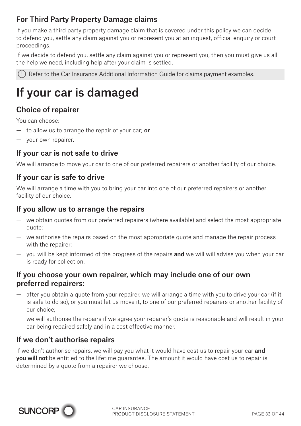# For Third Party Property Damage claims

If you make a third party property damage claim that is covered under this policy we can decide to defend you, settle any claim against you or represent you at an inquest, official enquiry or court proceedings.

If we decide to defend you, settle any claim against you or represent you, then you must give us all the help we need, including help after your claim is settled.

Refer to the Car Insurance Additional Information Guide for claims payment examples.

# If your car is damaged

# Choice of repairer

You can choose:

- $-$  to allow us to arrange the repair of your car; or
- your own repairer.

### If your car is not safe to drive

We will arrange to move your car to one of our preferred repairers or another facility of our choice.

#### If your car is safe to drive

We will arrange a time with you to bring your car into one of our preferred repairers or another facility of our choice.

#### If you allow us to arrange the repairs

- $-$  we obtain quotes from our preferred repairers (where available) and select the most appropriate quote;
- we authorise the repairs based on the most appropriate quote and manage the repair process with the repairer:
- you will be kept informed of the progress of the repairs and we will will advise you when your car is ready for collection.

#### If you choose your own repairer, which may include one of our own preferred repairers:

- after you obtain a quote from your repairer, we will arrange a time with you to drive your car (if it is safe to do so), or you must let us move it, to one of our preferred repairers or another facility of our choice;
- we will authorise the repairs if we agree your repairer's quote is reasonable and will result in your car being repaired safely and in a cost effective manner.

#### If we don't authorise repairs

If we don't authorise repairs, we will pay you what it would have cost us to repair your car and you will not be entitled to the lifetime guarantee. The amount it would have cost us to repair is determined by a quote from a repairer we choose.

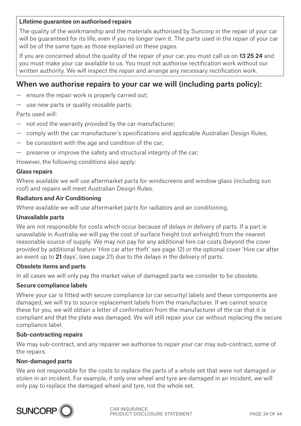#### Lifetime guarantee on authorised repairs

The quality of the workmanship and the materials authorised by Suncorp in the repair of your car will be guaranteed for its life, even if you no longer own it. The parts used in the repair of your car will be of the same type as those explained on these pages.

If you are concerned about the quality of the repair of your car, you must call us on 13 25 24 and you must make your car available to us. You must not authorise rectification work without our written authority. We will inspect the repair and arrange any necessary rectification work.

#### When we authorise repairs to your car we will (including parts policy):

- ensure the repair work is properly carried out;
- use new parts or quality reusable parts;

Parts used will:

- not void the warranty provided by the car manufacturer;
- comply with the car manufacturer's specifications and applicable Australian Design Rules;
- be consistent with the age and condition of the car;
- preserve or improve the safety and structural integrity of the car;

However, the following conditions also apply:

#### Glass repairs

Where available we will use aftermarket parts for windscreens and window glass (including sun roof) and repairs will meet Australian Design Rules.

#### Radiators and Air Conditioning

Where available we will use aftermarket parts for radiators and air conditioning.

#### Unavailable parts

We are not responsible for costs which occur because of delays in delivery of parts. If a part is unavailable in Australia we will pay the cost of surface freight (not airfreight) from the nearest reasonable source of supply. We may not pay for any additional hire car costs (beyond the cover provided by additional feature 'Hire car after theft' see page 12) or the optional cover 'Hire car after an event up to 21 days', (see page 21) due to the delays in the delivery of parts.

#### Obsolete items and parts

In all cases we will only pay the market value of damaged parts we consider to be obsolete.

#### Secure compliance labels

Where your car is fitted with secure compliance (or car security) labels and these components are damaged, we will try to source replacement labels from the manufacturer. If we cannot source these for you, we will obtain a letter of confirmation from the manufacturer of the car that it is compliant and that the plate was damaged. We will still repair your car without replacing the secure compliance label.

#### Sub-contracting repairs

We may sub-contract, and any repairer we authorise to repair your car may sub-contract, some of the repairs.

#### Non-damaged parts

We are not responsible for the costs to replace the parts of a whole set that were not damaged or stolen in an incident. For example, if only one wheel and tyre are damaged in an incident, we will only pay to replace the damaged wheel and tyre, not the whole set.

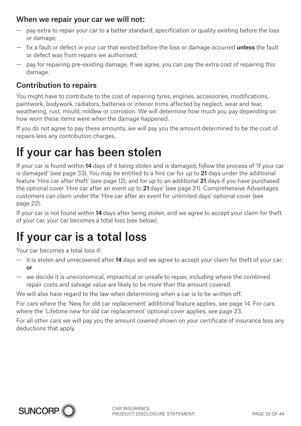### When we repair your car we will not:

- pay extra to repair your car to a better standard, specification or quality existing before the loss or damage;
- $-$  fix a fault or defect in your car that existed before the loss or damage occurred **unless** the fault or defect was from repairs we authorised;
- pay for repairing pre-existing damage. If we agree, you can pay the extra cost of repairing this damage.

# Contribution to repairs

You might have to contribute to the cost of repairing tyres, engines, accessories, modifications. paintwork, bodywork, radiators, batteries or interior trims affected by neglect, wear and tear, weathering, rust, mould, mildew or corrosion. We will determine how much you pay depending on how worn these items were when the damage happened.

If you do not agree to pay these amounts, we will pay you the amount determined to be the cost of repairs less any contribution charges.

# If your car has been stolen

If your car is found within 14 days of it being stolen and is damaged, follow the process of 'If your car is damaged' (see page 33). You may be entitled to a hire car for up to 21 days under the additional feature 'Hire car after theft' (see page 12), and for up to an additional 21 days if you have purchased the optional cover 'Hire car after an event up to 21 days' (see page 21). Comprehensive Advantages customers can claim under the 'Hire car after an event for unlimited days' optional cover (see page 22).

If your car is not found within 14 days after being stolen, and we agree to accept your claim for theft of your car, your car becomes a total loss (see below).

# If your car is a total loss

Your car becomes a total loss if:

- it is stolen and unrecovered after 14 days and we agree to accept your claim for theft of your car; or
- we decide it is uneconomical, impractical or unsafe to repair, including where the combined repair costs and salvage value are likely to be more than the amount covered.

We will also have regard to the law when determining when a car is to be written off.

For cars where the 'New for old car replacement' additional feature applies, see page 14. For cars where the 'Lifetime new for old car replacement' optional cover applies, see page 23.

For all other cars we will pay you the amount covered shown on your certificate of insurance less any deductions that apply.



CAR INSURANCE PRODUCT DISCLOSURE STATEMENT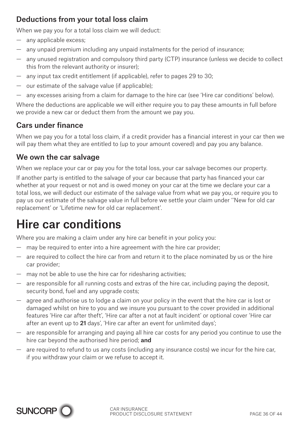# Deductions from your total loss claim

When we pay you for a total loss claim we will deduct:

- any applicable excess;
- any unpaid premium including any unpaid instalments for the period of insurance;
- any unused registration and compulsory third party (CTP) insurance (unless we decide to collect this from the relevant authority or insurer);
- any input tax credit entitlement (if applicable), refer to pages 29 to 30;
- our estimate of the salvage value (if applicable);
- any excesses arising from a claim for damage to the hire car (see 'Hire car conditions' below).

Where the deductions are applicable we will either require you to pay these amounts in full before we provide a new car or deduct them from the amount we pay you.

### Cars under finance

When we pay you for a total loss claim, if a credit provider has a financial interest in your car then we will pay them what they are entitled to (up to your amount covered) and pay you any balance.

### We own the car salvage

When we replace your car or pay you for the total loss, your car salvage becomes our property. If another party is entitled to the salvage of your car because that party has financed your car whether at your request or not and is owed money on your car at the time we declare your car a total loss, we will deduct our estimate of the salvage value from what we pay you, or require you to pay us our estimate of the salvage value in full before we settle your claim under ''New for old car replacement' or 'Lifetime new for old car replacement'.

# Hire car conditions

Where you are making a claim under any hire car benefit in your policy you:

- may be required to enter into a hire agreement with the hire car provider;
- are required to collect the hire car from and return it to the place nominated by us or the hire car provider;
- may not be able to use the hire car for ridesharing activities;
- $-$  are responsible for all running costs and extras of the hire car, including paying the deposit, security bond, fuel and any upgrade costs;
- agree and authorise us to lodge a claim on your policy in the event that the hire car is lost or damaged whilst on hire to you and we insure you pursuant to the cover provided in additional features 'Hire car after theft', 'Hire car after a not at fault incident' or optional cover 'Hire car after an event up to 21 days', 'Hire car after an event for unlimited days';
- are responsible for arranging and paying all hire car costs for any period you continue to use the hire car beyond the authorised hire period; and
- are required to refund to us any costs (including any insurance costs) we incur for the hire car, if you withdraw your claim or we refuse to accept it.

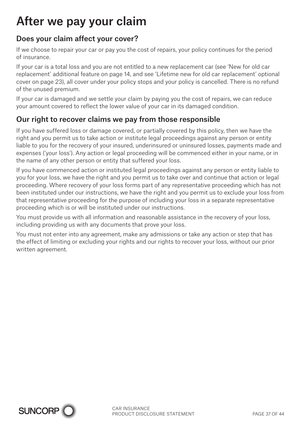# After we pay your claim

# Does your claim affect your cover?

If we choose to repair your car or pay you the cost of repairs, your policy continues for the period of insurance.

If your car is a total loss and you are not entitled to a new replacement car (see 'New for old car replacement' additional feature on page 14, and see 'Lifetime new for old car replacement' optional cover on page 23), all cover under your policy stops and your policy is cancelled. There is no refund of the unused premium.

If your car is damaged and we settle your claim by paying you the cost of repairs, we can reduce your amount covered to reflect the lower value of your car in its damaged condition.

# Our right to recover claims we pay from those responsible

If you have suffered loss or damage covered, or partially covered by this policy, then we have the right and you permit us to take action or institute legal proceedings against any person or entity liable to you for the recovery of your insured, underinsured or uninsured losses, payments made and expenses ('your loss'). Any action or legal proceeding will be commenced either in your name, or in the name of any other person or entity that suffered your loss.

If you have commenced action or instituted legal proceedings against any person or entity liable to you for your loss, we have the right and you permit us to take over and continue that action or legal proceeding. Where recovery of your loss forms part of any representative proceeding which has not been instituted under our instructions, we have the right and you permit us to exclude your loss from that representative proceeding for the purpose of including your loss in a separate representative proceeding which is or will be instituted under our instructions.

You must provide us with all information and reasonable assistance in the recovery of your loss, including providing us with any documents that prove your loss.

You must not enter into any agreement, make any admissions or take any action or step that has the effect of limiting or excluding your rights and our rights to recover your loss, without our prior written agreement.

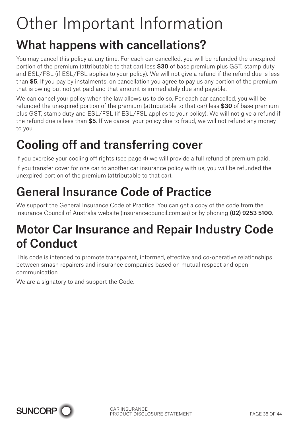# Other Important Information

# What happens with cancellations?

You may cancel this policy at any time. For each car cancelled, you will be refunded the unexpired portion of the premium (attributable to that car) less \$30 of base premium plus GST, stamp duty and ESL/FSL (if ESL/FSL applies to your policy). We will not give a refund if the refund due is less than \$5. If you pay by instalments, on cancellation you agree to pay us any portion of the premium that is owing but not yet paid and that amount is immediately due and payable.

We can cancel your policy when the law allows us to do so. For each car cancelled, you will be refunded the unexpired portion of the premium (attributable to that car) less \$30 of base premium plus GST, stamp duty and ESL/FSL (if ESL/FSL applies to your policy). We will not give a refund if the refund due is less than **\$5**. If we cancel your policy due to fraud, we will not refund any money to you.

# Cooling off and transferring cover

If you exercise your cooling off rights (see page 4) we will provide a full refund of premium paid.

If you transfer cover for one car to another car insurance policy with us, you will be refunded the unexpired portion of the premium (attributable to that car).

# General Insurance Code of Practice

We support the General Insurance Code of Practice. You can get a copy of the code from the Insurance Council of Australia website (insurancecouncil.com.au) or by phoning (02) 9253 5100.

# Motor Car Insurance and Repair Industry Code of Conduct

This code is intended to promote transparent, informed, effective and co-operative relationships between smash repairers and insurance companies based on mutual respect and open communication.

We are a signatory to and support the Code.

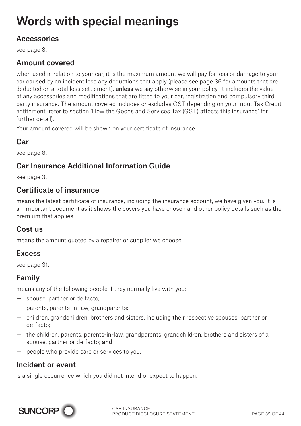# Words with special meanings

# **Accessories**

see page 8.

# Amount covered

when used in relation to your car, it is the maximum amount we will pay for loss or damage to your car caused by an incident less any deductions that apply (please see page 36 for amounts that are deducted on a total loss settlement), **unless** we say otherwise in your policy. It includes the value of any accessories and modifications that are fitted to your car, registration and compulsory third party insurance. The amount covered includes or excludes GST depending on your Input Tax Credit entitement (refer to section 'How the Goods and Services Tax (GST) affects this insurance' for further detail).

Your amount covered will be shown on your certificate of insurance.

### Car

see page 8.

# Car Insurance Additional Information Guide

see page 3.

### Certificate of insurance

means the latest certificate of insurance, including the insurance account, we have given you. It is an important document as it shows the covers you have chosen and other policy details such as the premium that applies.

# Cost us

means the amount quoted by a repairer or supplier we choose.

# Excess

see page 31.

# Family

means any of the following people if they normally live with you:

- spouse, partner or de facto;
- parents, parents-in-law, grandparents;
- children, grandchildren, brothers and sisters, including their respective spouses, partner or de-facto;
- the children, parents, parents-in-law, grandparents, grandchildren, brothers and sisters of a spouse, partner or de-facto; and
- people who provide care or services to you.

# Incident or event

is a single occurrence which you did not intend or expect to happen.

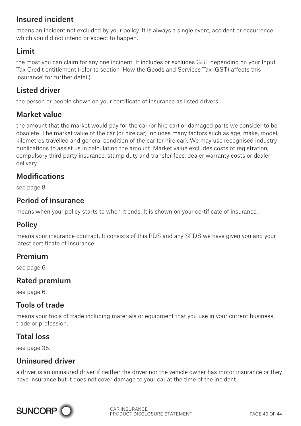# Insured incident

means an incident not excluded by your policy. It is always a single event, accident or occurrence which you did not intend or expect to happen.

# Limit

the most you can claim for any one incident. It includes or excludes GST depending on your Input Tax Credit entitlement (refer to section 'How the Goods and Services Tax (GST) affects this insurance' for further detail).

# Listed driver

the person or people shown on your certificate of insurance as listed drivers.

#### Market value

the amount that the market would pay for the car (or hire car) or damaged parts we consider to be obsolete. The market value of the car (or hire car) includes many factors such as age, make, model, kilometres travelled and general condition of the car (or hire car). We may use recognised industry publications to assist us in calculating the amount. Market value excludes costs of registration, compulsory third party insurance, stamp duty and transfer fees, dealer warranty costs or dealer delivery.

## **Modifications**

see page 8.

#### Period of insurance

means when your policy starts to when it ends. It is shown on your certificate of insurance.

#### **Policy**

means your insurance contract. It consists of this PDS and any SPDS we have given you and your latest certificate of insurance.

#### Premium

see page 6.

#### Rated premium

see page 6.

#### Tools of trade

means your tools of trade including materials or equipment that you use in your current business, trade or profession.

#### Total loss

see page 35.

#### Uninsured driver

a driver is an uninsured driver if neither the driver nor the vehicle owner has motor insurance or they have insurance but it does not cover damage to your car at the time of the incident.

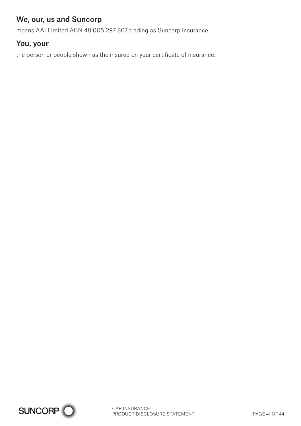# We, our, us and Suncorp

means AAI Limited ABN 48 005 297 807 trading as Suncorp Insurance.

#### You, your

the person or people shown as the insured on your certificate of insurance.

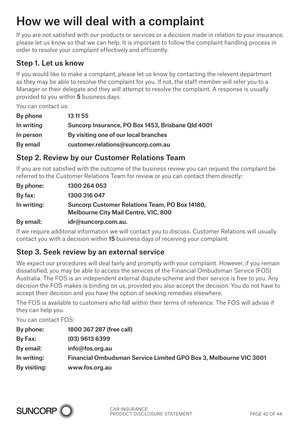# How we will deal with a complaint

If you are not satisfied with our products or services or a decision made in relation to your insurance, please let us know so that we can help. It is important to follow the complaint handling process in order to resolve your complaint effectively and efficiently.

# Step 1. Let us know

If you would like to make a complaint, please let us know by contacting the relevent department as they may be able to resolve the complaint for you. If not, the staff member will refer you to a Manager or their delegate and they will attempt to resolve the complaint. A response is usually provided to you within 5 business days.

You can contact us:

| By phone   | 13 11 55                                          |
|------------|---------------------------------------------------|
| In writing | Suncorp Insurance, PO Box 1453, Brisbane Qld 4001 |
| In person  | By visiting one of our local branches             |
| By email   | customer.relations@suncorp.com.au                 |

#### Step 2. Review by our Customer Relations Team

If you are not satisfied with the outcome of the business review you can request the complaint be referred to the Customer Relations Team for review or you can contact them directly:

| By phone:   | 1300 264 053                                                                           |
|-------------|----------------------------------------------------------------------------------------|
| By fax:     | 1300 316 047                                                                           |
| In writing: | Suncorp Customer Relations Team, PO Box 14180,<br>Melbourne City Mail Centre, VIC, 800 |
|             |                                                                                        |

By email: idr@suncorp.com.au.

If we require additonal information we will contact you to discuss. Customer Relations will usually contact you with a decision within 15 business days of receiving your complaint.

# Step 3. Seek review by an external service

We expect our procedures will deal fairly and promptly with your complaint. However, if you remain dissatisfied, you may be able to access the services of the Financial Ombudsman Service (FOS) Australia. The FOS is an independent external dispute scheme and their service is free to you. Any decision the FOS makes is binding on us, provided you also accept the decision. You do not have to accept their decision and you have the option of seeking remedies elsewhere.

The FOS is available to customers who fall within their terms of reference. The FOS will advise if they can help you.

You can contact FOS:

| By phone:    | 1800 367 287 (free call)                                          |
|--------------|-------------------------------------------------------------------|
| By Fax:      | (03) 9613 6399                                                    |
| By email:    | $info@f$ os.org.au                                                |
| In writing:  | Financial Ombudsman Service Limited GPO Box 3. Melbourne VIC 3001 |
| By visiting: | www.fos.org.au                                                    |

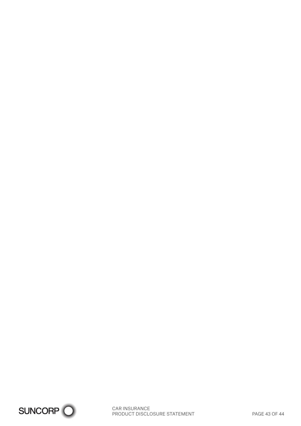

CAR INSURANCE PRODUCT DISCLOSURE STATEMENT